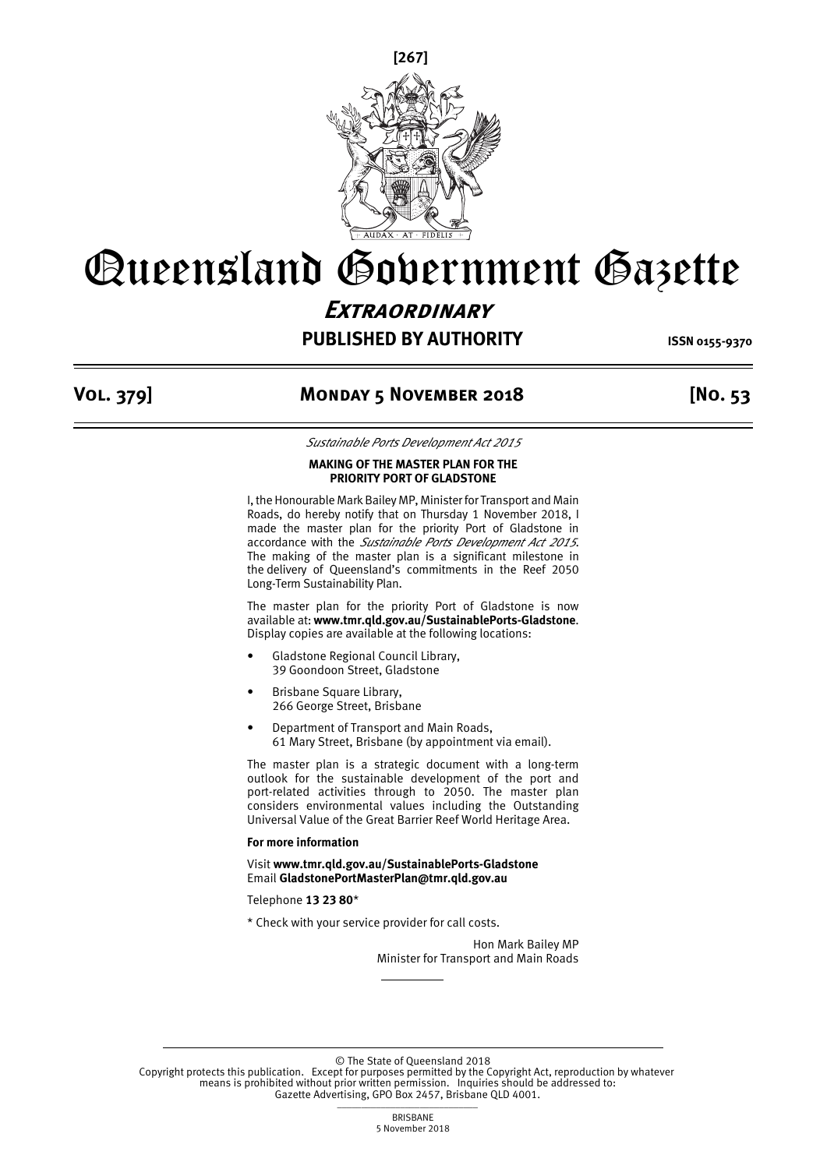

# Queensland Government Gazette

## **Extraordinary**

### **PUBLISHED BY AUTHORITY ISSN 0155-9370**

### **Vol. 379] Monday 5 November 2018 [No. 53**

*Sustainable Ports Development Act 2015*

### **MAKING OF THE MASTER PLAN FOR THE PRIORITY PORT OF GLADSTONE**

I, the Honourable Mark Bailey MP, Minister for Transport and Main Roads, do hereby notify that on Thursday 1 November 2018, I made the master plan for the priority Port of Gladstone in accordance with the *Sustainable Ports Development Act 2015*. The making of the master plan is a significant milestone in the delivery of Queensland's commitments in the Reef 2050 Long-Term Sustainability Plan.

The master plan for the priority Port of Gladstone is now available at: **www.tmr.qld.gov.au/SustainablePorts-Gladstone**. Display copies are available at the following locations:

- Gladstone Regional Council Library, 39 Goondoon Street, Gladstone
- Brisbane Square Library, 266 George Street, Brisbane
- Department of Transport and Main Roads, 61 Mary Street, Brisbane (by appointment via email).

The master plan is a strategic document with a long-term outlook for the sustainable development of the port and port-related activities through to 2050. The master plan considers environmental values including the Outstanding Universal Value of the Great Barrier Reef World Heritage Area.

### **For more information**

Visit **www.tmr.qld.gov.au/SustainablePorts-Gladstone** Email **GladstonePortMasterPlan@tmr.qld.gov.au** 

Telephone **13 23 80**\*

\* Check with your service provider for call costs.

Hon Mark Bailey MP Minister for Transport and Main Roads

© The State of Queensland 2018 Copyright protects this publication. Except for purposes permitted by the Copyright Act, reproduction by whatever means is prohibited without prior written permission. Inquiries should be addressed to: Gazette Advertising, GPO Box 2457, Brisbane QLD 4001.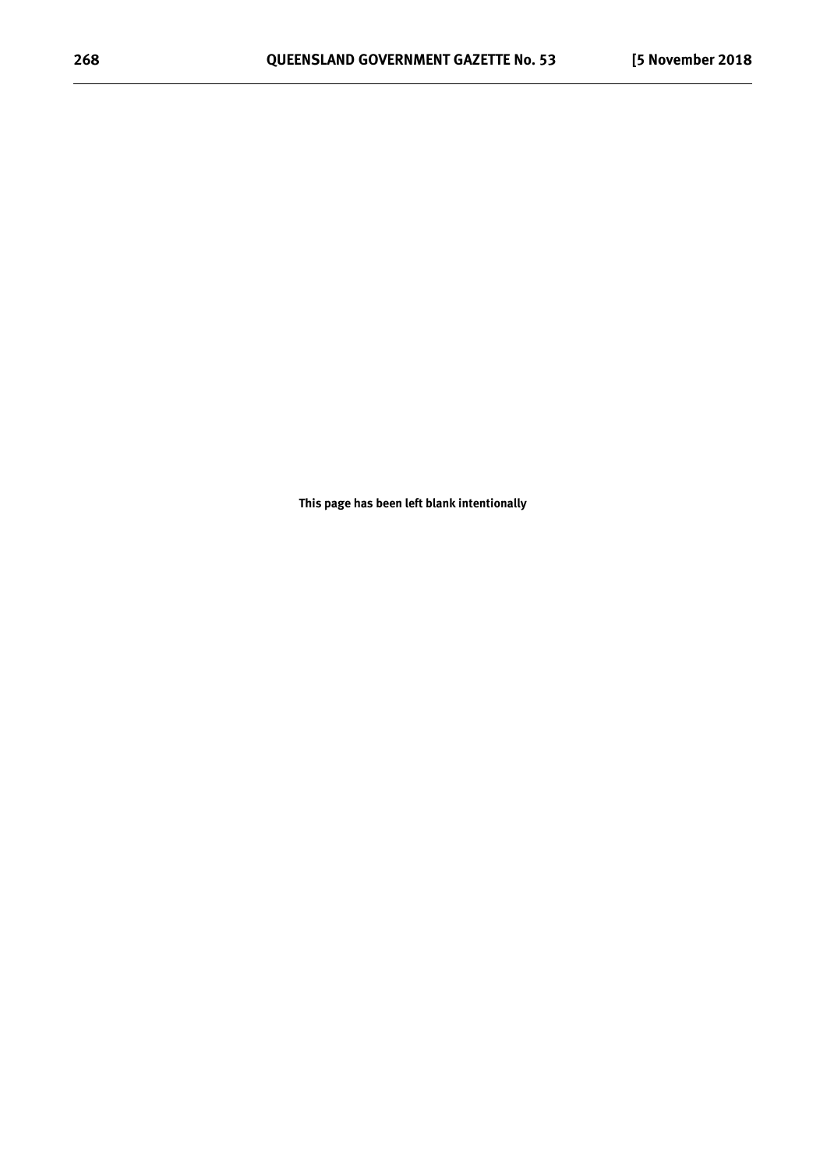**This page has been left blank intentionally**